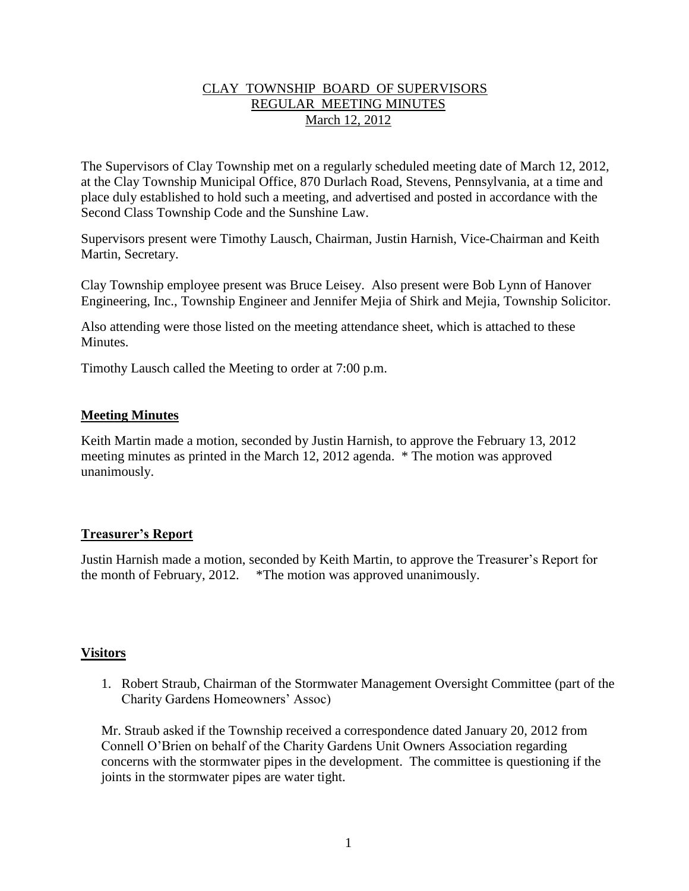# CLAY TOWNSHIP BOARD OF SUPERVISORS REGULAR MEETING MINUTES March 12, 2012

The Supervisors of Clay Township met on a regularly scheduled meeting date of March 12, 2012, at the Clay Township Municipal Office, 870 Durlach Road, Stevens, Pennsylvania, at a time and place duly established to hold such a meeting, and advertised and posted in accordance with the Second Class Township Code and the Sunshine Law.

Supervisors present were Timothy Lausch, Chairman, Justin Harnish, Vice-Chairman and Keith Martin, Secretary.

Clay Township employee present was Bruce Leisey. Also present were Bob Lynn of Hanover Engineering, Inc., Township Engineer and Jennifer Mejia of Shirk and Mejia, Township Solicitor.

Also attending were those listed on the meeting attendance sheet, which is attached to these Minutes.

Timothy Lausch called the Meeting to order at 7:00 p.m.

# **Meeting Minutes**

Keith Martin made a motion, seconded by Justin Harnish, to approve the February 13, 2012 meeting minutes as printed in the March 12, 2012 agenda. \* The motion was approved unanimously.

# **Treasurer's Report**

Justin Harnish made a motion, seconded by Keith Martin, to approve the Treasurer's Report for the month of February, 2012. \*The motion was approved unanimously.

#### **Visitors**

1. Robert Straub, Chairman of the Stormwater Management Oversight Committee (part of the Charity Gardens Homeowners' Assoc)

Mr. Straub asked if the Township received a correspondence dated January 20, 2012 from Connell O'Brien on behalf of the Charity Gardens Unit Owners Association regarding concerns with the stormwater pipes in the development. The committee is questioning if the joints in the stormwater pipes are water tight.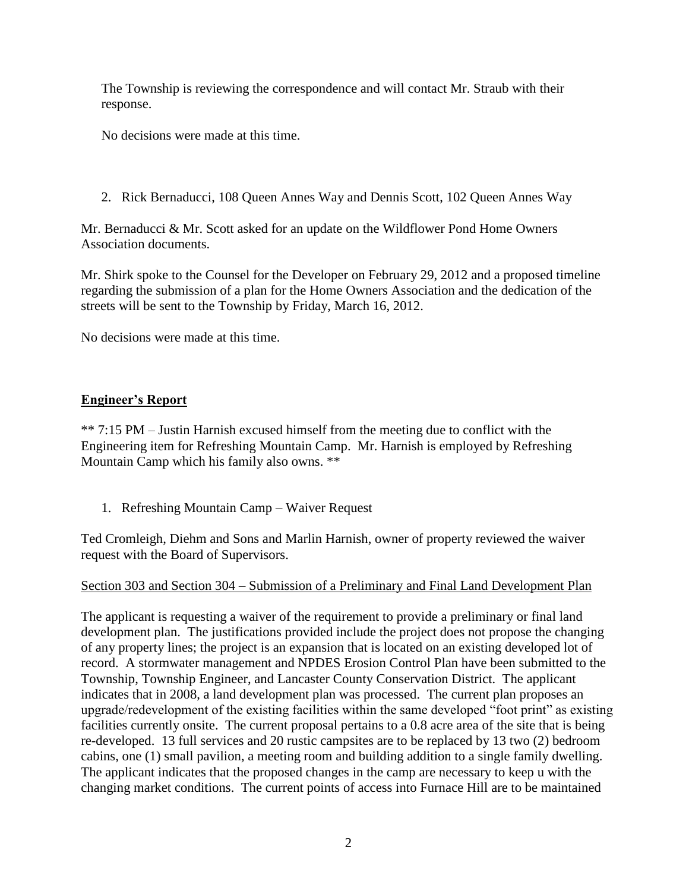The Township is reviewing the correspondence and will contact Mr. Straub with their response.

No decisions were made at this time.

2. Rick Bernaducci, 108 Queen Annes Way and Dennis Scott, 102 Queen Annes Way

Mr. Bernaducci & Mr. Scott asked for an update on the Wildflower Pond Home Owners Association documents.

Mr. Shirk spoke to the Counsel for the Developer on February 29, 2012 and a proposed timeline regarding the submission of a plan for the Home Owners Association and the dedication of the streets will be sent to the Township by Friday, March 16, 2012.

No decisions were made at this time.

# **Engineer's Report**

\*\* 7:15 PM – Justin Harnish excused himself from the meeting due to conflict with the Engineering item for Refreshing Mountain Camp. Mr. Harnish is employed by Refreshing Mountain Camp which his family also owns. \*\*

1. Refreshing Mountain Camp – Waiver Request

Ted Cromleigh, Diehm and Sons and Marlin Harnish, owner of property reviewed the waiver request with the Board of Supervisors.

# Section 303 and Section 304 – Submission of a Preliminary and Final Land Development Plan

The applicant is requesting a waiver of the requirement to provide a preliminary or final land development plan. The justifications provided include the project does not propose the changing of any property lines; the project is an expansion that is located on an existing developed lot of record. A stormwater management and NPDES Erosion Control Plan have been submitted to the Township, Township Engineer, and Lancaster County Conservation District. The applicant indicates that in 2008, a land development plan was processed. The current plan proposes an upgrade/redevelopment of the existing facilities within the same developed "foot print" as existing facilities currently onsite. The current proposal pertains to a 0.8 acre area of the site that is being re-developed. 13 full services and 20 rustic campsites are to be replaced by 13 two (2) bedroom cabins, one (1) small pavilion, a meeting room and building addition to a single family dwelling. The applicant indicates that the proposed changes in the camp are necessary to keep u with the changing market conditions. The current points of access into Furnace Hill are to be maintained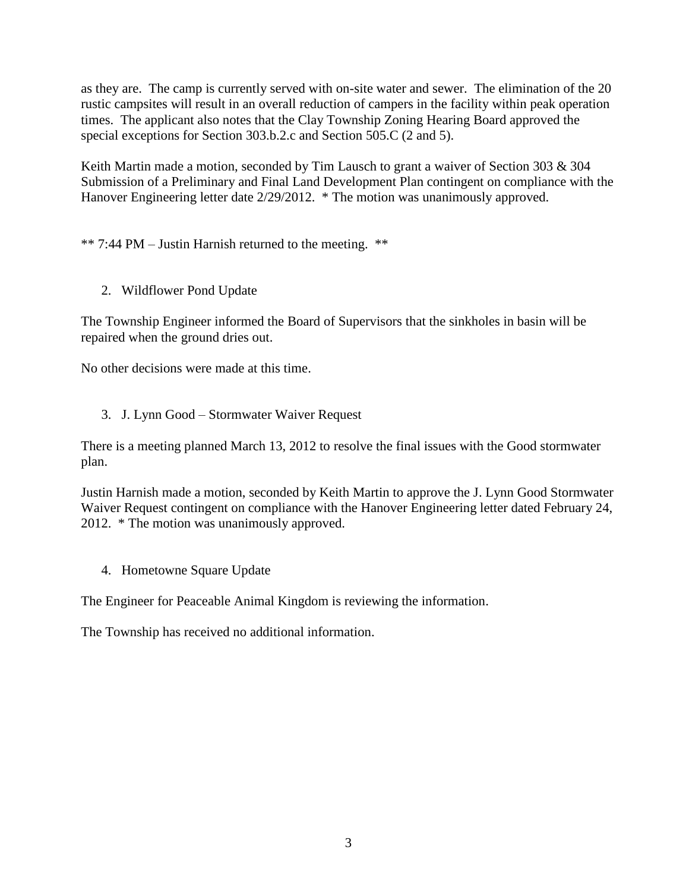as they are. The camp is currently served with on-site water and sewer. The elimination of the 20 rustic campsites will result in an overall reduction of campers in the facility within peak operation times. The applicant also notes that the Clay Township Zoning Hearing Board approved the special exceptions for Section 303.b.2.c and Section 505.C (2 and 5).

Keith Martin made a motion, seconded by Tim Lausch to grant a waiver of Section 303 & 304 Submission of a Preliminary and Final Land Development Plan contingent on compliance with the Hanover Engineering letter date 2/29/2012. \* The motion was unanimously approved.

\*\* 7:44 PM – Justin Harnish returned to the meeting. \*\*

2. Wildflower Pond Update

The Township Engineer informed the Board of Supervisors that the sinkholes in basin will be repaired when the ground dries out.

No other decisions were made at this time.

3. J. Lynn Good – Stormwater Waiver Request

There is a meeting planned March 13, 2012 to resolve the final issues with the Good stormwater plan.

Justin Harnish made a motion, seconded by Keith Martin to approve the J. Lynn Good Stormwater Waiver Request contingent on compliance with the Hanover Engineering letter dated February 24, 2012. \* The motion was unanimously approved.

4. Hometowne Square Update

The Engineer for Peaceable Animal Kingdom is reviewing the information.

The Township has received no additional information.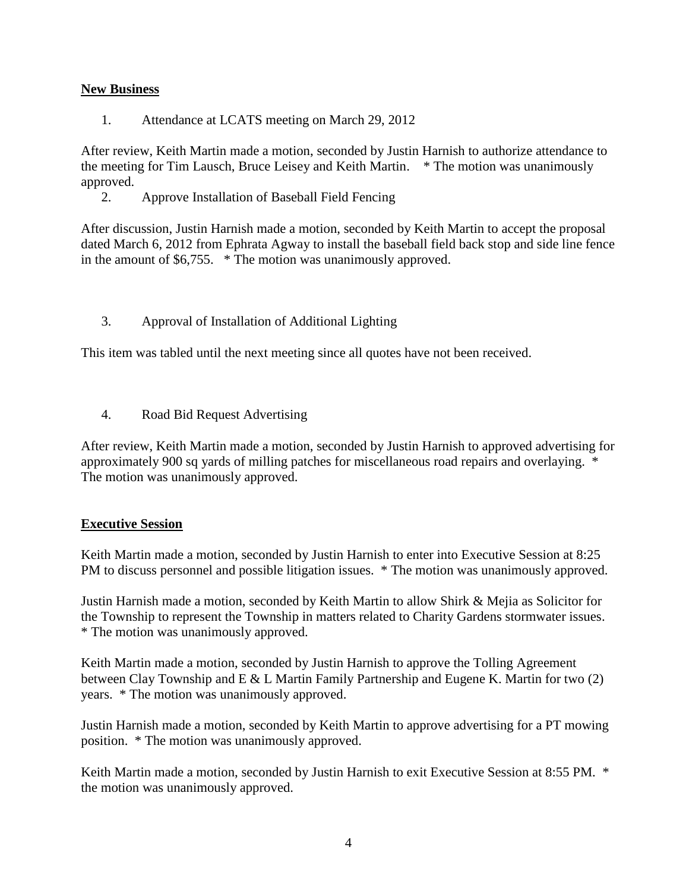### **New Business**

1. Attendance at LCATS meeting on March 29, 2012

After review, Keith Martin made a motion, seconded by Justin Harnish to authorize attendance to the meeting for Tim Lausch, Bruce Leisey and Keith Martin. \* The motion was unanimously approved.

2. Approve Installation of Baseball Field Fencing

After discussion, Justin Harnish made a motion, seconded by Keith Martin to accept the proposal dated March 6, 2012 from Ephrata Agway to install the baseball field back stop and side line fence in the amount of \$6,755. \* The motion was unanimously approved.

3. Approval of Installation of Additional Lighting

This item was tabled until the next meeting since all quotes have not been received.

4. Road Bid Request Advertising

After review, Keith Martin made a motion, seconded by Justin Harnish to approved advertising for approximately 900 sq yards of milling patches for miscellaneous road repairs and overlaying. \* The motion was unanimously approved.

#### **Executive Session**

Keith Martin made a motion, seconded by Justin Harnish to enter into Executive Session at 8:25 PM to discuss personnel and possible litigation issues.  $*$  The motion was unanimously approved.

Justin Harnish made a motion, seconded by Keith Martin to allow Shirk & Mejia as Solicitor for the Township to represent the Township in matters related to Charity Gardens stormwater issues. \* The motion was unanimously approved.

Keith Martin made a motion, seconded by Justin Harnish to approve the Tolling Agreement between Clay Township and E & L Martin Family Partnership and Eugene K. Martin for two (2) years. \* The motion was unanimously approved.

Justin Harnish made a motion, seconded by Keith Martin to approve advertising for a PT mowing position. \* The motion was unanimously approved.

Keith Martin made a motion, seconded by Justin Harnish to exit Executive Session at 8:55 PM. \* the motion was unanimously approved.